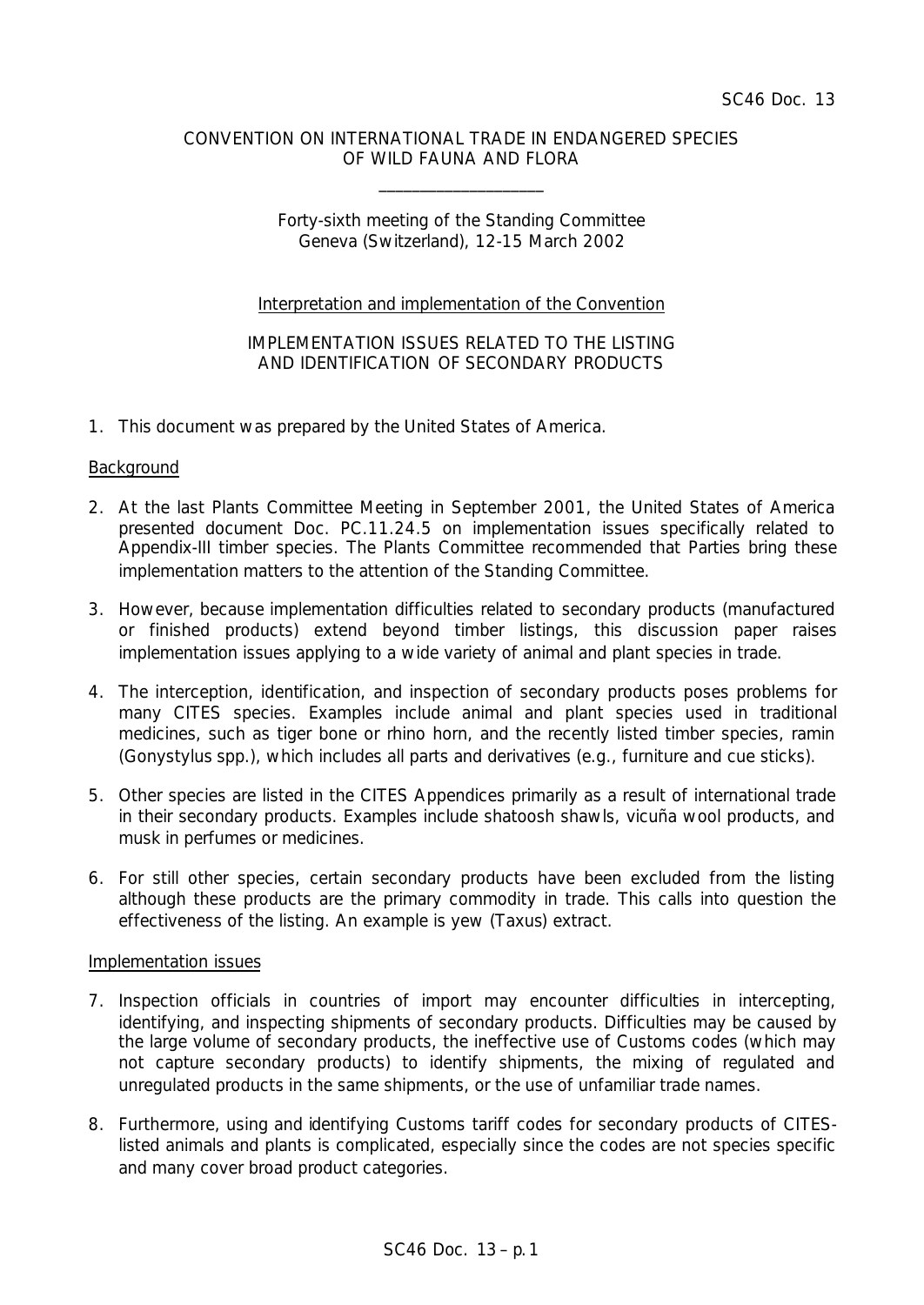### CONVENTION ON INTERNATIONAL TRADE IN ENDANGERED SPECIES OF WILD FAUNA AND FLORA

\_\_\_\_\_\_\_\_\_\_\_\_\_\_\_\_\_\_\_\_

# Forty-sixth meeting of the Standing Committee Geneva (Switzerland), 12-15 March 2002

# Interpretation and implementation of the Convention

# IMPLEMENTATION ISSUES RELATED TO THE LISTING AND IDENTIFICATION OF SECONDARY PRODUCTS

1. This document was prepared by the United States of America.

### **Background**

- 2. At the last Plants Committee Meeting in September 2001, the United States of America presented document Doc. PC.11.24.5 on implementation issues specifically related to Appendix-III timber species. The Plants Committee recommended that Parties bring these implementation matters to the attention of the Standing Committee.
- 3. However, because implementation difficulties related to secondary products (manufactured or finished products) extend beyond timber listings, this discussion paper raises implementation issues applying to a wide variety of animal and plant species in trade.
- 4. The interception, identification, and inspection of secondary products poses problems for many CITES species. Examples include animal and plant species used in traditional medicines, such as tiger bone or rhino horn, and the recently listed timber species, ramin (*Gonystylus* spp.), which includes all parts and derivatives (e.g., furniture and cue sticks).
- 5. Other species are listed in the CITES Appendices primarily as a result of international trade in their secondary products. Examples include shatoosh shawls, vicuña wool products, and musk in perfumes or medicines.
- 6. For still other species, certain secondary products have been excluded from the listing although these products are the primary commodity in trade. This calls into question the effectiveness of the listing. An example is yew (*Taxus*) extract.

### Implementation issues

- 7. Inspection officials in countries of import may encounter difficulties in intercepting, identifying, and inspecting shipments of secondary products. Difficulties may be caused by the large volume of secondary products, the ineffective use of Customs codes (which may not capture secondary products) to identify shipments, the mixing of regulated and unregulated products in the same shipments, or the use of unfamiliar trade names.
- 8. Furthermore, using and identifying Customs tariff codes for secondary products of CITESlisted animals and plants is complicated, especially since the codes are not species specific and many cover broad product categories.